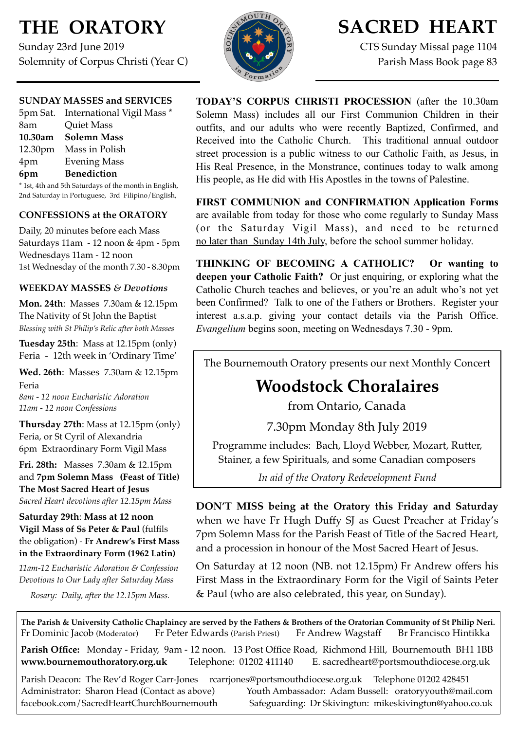# **THE ORATORY**

Sunday 23rd June 2019 Solemnity of Corpus Christi (Year C)



# **SACRED HEART**

CTS Sunday Missal page 1104 Parish Mass Book page 83

## **SUNDAY MASSES and SERVICES**

|     | 5pm Sat. International Vigil Mass * |
|-----|-------------------------------------|
| 8am | <b>Quiet Mass</b>                   |
|     | 10.30am Solemn Mass                 |
|     | 12.30pm Mass in Polish              |
| 4pm | <b>Evening Mass</b>                 |
| 6pm | <b>Benediction</b>                  |
|     |                                     |

\* 1st, 4th and 5th Saturdays of the month in English, 2nd Saturday in Portuguese, 3rd Filipino/English,

## **CONFESSIONS at the ORATORY**

Daily, 20 minutes before each Mass Saturdays 11am - 12 noon & 4pm - 5pm Wednesdays 11am - 12 noon 1st Wednesday of the month 7.30 - 8.30pm

## **WEEKDAY MASSES** *& Devotions*

**Mon. 24th**: Masses 7.30am & 12.15pm The Nativity of St John the Baptist *Blessing with St Philip's Relic after both Masses*

**Tuesday 25th**: Mass at 12.15pm (only) Feria - 12th week in 'Ordinary Time'

**Wed. 26th**: Masses7.30am & 12.15pm Feria

*8am - 12 noon Eucharistic Adoration 11am - 12 noon Confessions*

**Thursday 27th**: Mass at 12.15pm (only) Feria, or St Cyril of Alexandria 6pm Extraordinary Form Vigil Mass

**Fri. 28th:** Masses 7.30am & 12.15pm and **7pm Solemn Mass (Feast of Title) The Most Sacred Heart of Jesus** *Sacred Heart devotions after 12.15pm Mass*

## **Saturday 29th**: **Mass at 12 noon Vigil Mass of Ss Peter & Paul** (fulfils the obligation) - **Fr Andrew's First Mass in the Extraordinary Form (1962 Latin)**

*11am-12 Eucharistic Adoration & Confession Devotions to Our Lady after Saturday Mass*

*Rosary: Daily, after the 12.15pm Mass.*

**TODAY'S CORPUS CHRISTI PROCESSION** (after the 10.30am Solemn Mass) includes all our First Communion Children in their outfits, and our adults who were recently Baptized, Confirmed, and Received into the Catholic Church. This traditional annual outdoor street procession is a public witness to our Catholic Faith, as Jesus, in His Real Presence, in the Monstrance, continues today to walk among His people, as He did with His Apostles in the towns of Palestine.

**FIRST COMMUNION and CONFIRMATION Application Forms**  are available from today for those who come regularly to Sunday Mass (or the Saturday Vigil Mass), and need to be returned no later than Sunday 14th July, before the school summer holiday.

**THINKING OF BECOMING A CATHOLIC? Or wanting to deepen your Catholic Faith?** Or just enquiring, or exploring what the Catholic Church teaches and believes, or you're an adult who's not yet been Confirmed? Talk to one of the Fathers or Brothers. Register your interest a.s.a.p. giving your contact details via the Parish Office. *Evangelium* begins soon, meeting on Wednesdays 7.30 - 9pm.

The Bournemouth Oratory presents our next Monthly Concert

## **Woodstock Choralaires**

from Ontario, Canada

7.30pm Monday 8th July 2019

Programme includes: Bach, Lloyd Webber, Mozart, Rutter, Stainer, a few Spirituals, and some Canadian composers

*In aid of the Oratory Redevelopment Fund*

**DON'T MISS being at the Oratory this Friday and Saturday**  when we have Fr Hugh Duffy SJ as Guest Preacher at Friday's 7pm Solemn Mass for the Parish Feast of Title of the Sacred Heart, and a procession in honour of the Most Sacred Heart of Jesus.

On Saturday at 12 noon (NB. not 12.15pm) Fr Andrew offers his First Mass in the Extraordinary Form for the Vigil of Saints Peter & Paul (who are also celebrated, this year, on Sunday).

**The Parish & University Catholic Chaplaincy are served by the Fathers & Brothers of the Oratorian Community of St Philip Neri.** Fr Dominic Jacob (Moderator) Fr Peter Edwards (Parish Priest) Fr Andrew Wagstaff Br Francisco Hintikka

**Parish Office:** Monday - Friday, 9am - 12 noon. 13 Post Office Road, Richmond Hill, Bournemouth BH1 1BB **[www.bournemouthoratory.org.uk](http://www.bournemoithoratory.org.uk)** Telephone: 01202 411140 E. [sacredheart@portsmouthdiocese.org.uk](mailto:sacredheart@portsmouthdiocese.org.uk)

Parish Deacon: The Rev'd Roger Carr-Jones [rcarrjones@portsmouthdiocese.org.uk](mailto:rcarrjones@portsmouthdiocese.org.uk) Telephone 01202 428451 Administrator: Sharon Head (Contact as above) Youth Ambassador: Adam Bussell: [oratoryyouth@mail.com](http://oratoryyouth.mail.com) [facebook.com/SacredHeartChurchBournemouth](http://facebook.com/SaccredHeartChurchBournemouth) Safeguarding: Dr Skivington: mikeskivington@yahoo.co.uk